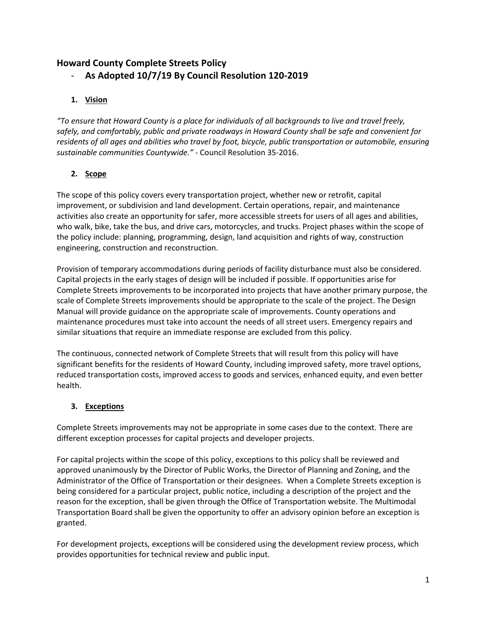# **Howard County Complete Streets Policy**

- **As Adopted 10/7/19 By Council Resolution 120-2019**

# **1. Vision**

*"To ensure that Howard County is a place for individuals of all backgrounds to live and travel freely, safely, and comfortably, public and private roadways in Howard County shall be safe and convenient for residents of all ages and abilities who travel by foot, bicycle, public transportation or automobile, ensuring sustainable communities Countywide." -* Council Resolution 35-2016.

# **2. Scope**

The scope of this policy covers every transportation project, whether new or retrofit, capital improvement, or subdivision and land development. Certain operations, repair, and maintenance activities also create an opportunity for safer, more accessible streets for users of all ages and abilities, who walk, bike, take the bus, and drive cars, motorcycles, and trucks. Project phases within the scope of the policy include: planning, programming, design, land acquisition and rights of way, construction engineering, construction and reconstruction.

Provision of temporary accommodations during periods of facility disturbance must also be considered. Capital projects in the early stages of design will be included if possible. If opportunities arise for Complete Streets improvements to be incorporated into projects that have another primary purpose, the scale of Complete Streets improvements should be appropriate to the scale of the project. The Design Manual will provide guidance on the appropriate scale of improvements. County operations and maintenance procedures must take into account the needs of all street users. Emergency repairs and similar situations that require an immediate response are excluded from this policy.

The continuous, connected network of Complete Streets that will result from this policy will have significant benefits for the residents of Howard County, including improved safety, more travel options, reduced transportation costs, improved access to goods and services, enhanced equity, and even better health.

# **3. Exceptions**

Complete Streets improvements may not be appropriate in some cases due to the context. There are different exception processes for capital projects and developer projects.

For capital projects within the scope of this policy, exceptions to this policy shall be reviewed and approved unanimously by the Director of Public Works, the Director of Planning and Zoning, and the Administrator of the Office of Transportation or their designees. When a Complete Streets exception is being considered for a particular project, public notice, including a description of the project and the reason for the exception, shall be given through the Office of Transportation website. The Multimodal Transportation Board shall be given the opportunity to offer an advisory opinion before an exception is granted.

For development projects, exceptions will be considered using the development review process, which provides opportunities for technical review and public input.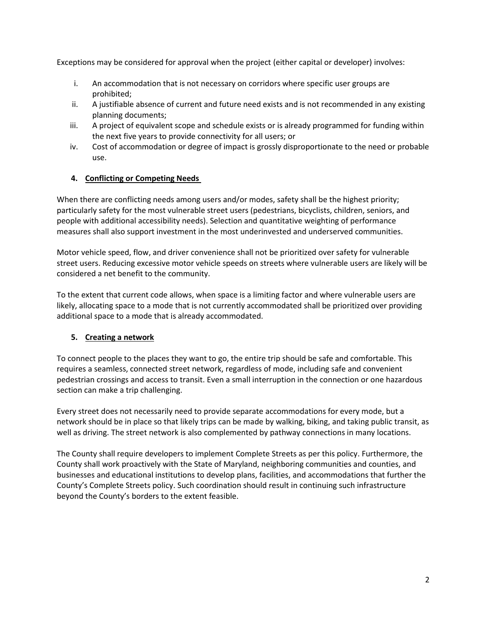Exceptions may be considered for approval when the project (either capital or developer) involves:

- i. An accommodation that is not necessary on corridors where specific user groups are prohibited;
- ii. A justifiable absence of current and future need exists and is not recommended in any existing planning documents;
- iii. A project of equivalent scope and schedule exists or is already programmed for funding within the next five years to provide connectivity for all users; or
- iv. Cost of accommodation or degree of impact is grossly disproportionate to the need or probable use.

## **4. Conflicting or Competing Needs**

When there are conflicting needs among users and/or modes, safety shall be the highest priority; particularly safety for the most vulnerable street users (pedestrians, bicyclists, children, seniors, and people with additional accessibility needs). Selection and quantitative weighting of performance measures shall also support investment in the most underinvested and underserved communities.

Motor vehicle speed, flow, and driver convenience shall not be prioritized over safety for vulnerable street users. Reducing excessive motor vehicle speeds on streets where vulnerable users are likely will be considered a net benefit to the community.

To the extent that current code allows, when space is a limiting factor and where vulnerable users are likely, allocating space to a mode that is not currently accommodated shall be prioritized over providing additional space to a mode that is already accommodated.

## **5. Creating a network**

To connect people to the places they want to go, the entire trip should be safe and comfortable. This requires a seamless, connected street network, regardless of mode, including safe and convenient pedestrian crossings and access to transit. Even a small interruption in the connection or one hazardous section can make a trip challenging.

Every street does not necessarily need to provide separate accommodations for every mode, but a network should be in place so that likely trips can be made by walking, biking, and taking public transit, as well as driving. The street network is also complemented by pathway connections in many locations.

The County shall require developers to implement Complete Streets as per this policy. Furthermore, the County shall work proactively with the State of Maryland, neighboring communities and counties, and businesses and educational institutions to develop plans, facilities, and accommodations that further the County's Complete Streets policy. Such coordination should result in continuing such infrastructure beyond the County's borders to the extent feasible.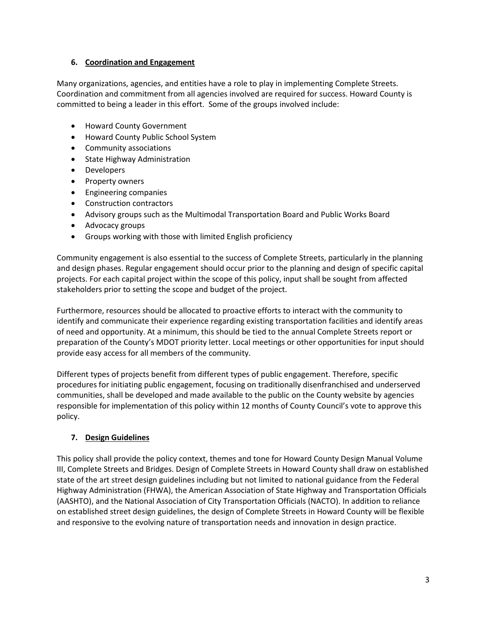#### **6. Coordination and Engagement**

Many organizations, agencies, and entities have a role to play in implementing Complete Streets. Coordination and commitment from all agencies involved are required for success. Howard County is committed to being a leader in this effort. Some of the groups involved include:

- Howard County Government
- Howard County Public School System
- Community associations
- State Highway Administration
- Developers
- Property owners
- Engineering companies
- Construction contractors
- Advisory groups such as the Multimodal Transportation Board and Public Works Board
- Advocacy groups
- Groups working with those with limited English proficiency

Community engagement is also essential to the success of Complete Streets, particularly in the planning and design phases. Regular engagement should occur prior to the planning and design of specific capital projects. For each capital project within the scope of this policy, input shall be sought from affected stakeholders prior to setting the scope and budget of the project.

Furthermore, resources should be allocated to proactive efforts to interact with the community to identify and communicate their experience regarding existing transportation facilities and identify areas of need and opportunity. At a minimum, this should be tied to the annual Complete Streets report or preparation of the County's MDOT priority letter. Local meetings or other opportunities for input should provide easy access for all members of the community.

Different types of projects benefit from different types of public engagement. Therefore, specific procedures for initiating public engagement, focusing on traditionally disenfranchised and underserved communities, shall be developed and made available to the public on the County website by agencies responsible for implementation of this policy within 12 months of County Council's vote to approve this policy.

## **7. Design Guidelines**

This policy shall provide the policy context, themes and tone for Howard County Design Manual Volume III, Complete Streets and Bridges. Design of Complete Streets in Howard County shall draw on established state of the art street design guidelines including but not limited to national guidance from the Federal Highway Administration (FHWA), the American Association of State Highway and Transportation Officials (AASHTO), and the National Association of City Transportation Officials (NACTO). In addition to reliance on established street design guidelines, the design of Complete Streets in Howard County will be flexible and responsive to the evolving nature of transportation needs and innovation in design practice.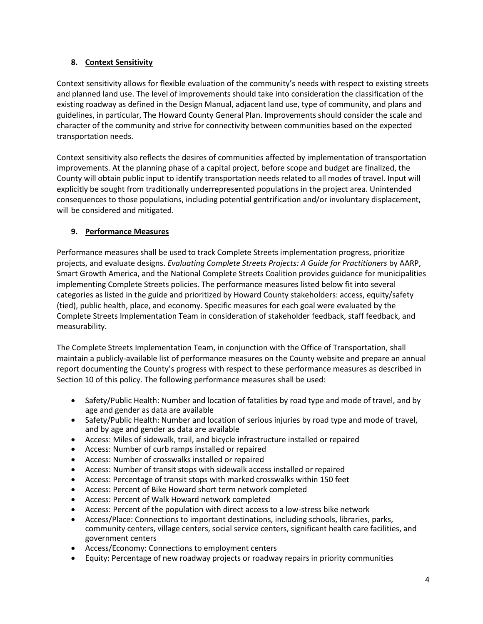## **8. Context Sensitivity**

Context sensitivity allows for flexible evaluation of the community's needs with respect to existing streets and planned land use. The level of improvements should take into consideration the classification of the existing roadway as defined in the Design Manual, adjacent land use, type of community, and plans and guidelines, in particular, The Howard County General Plan. Improvements should consider the scale and character of the community and strive for connectivity between communities based on the expected transportation needs.

Context sensitivity also reflects the desires of communities affected by implementation of transportation improvements. At the planning phase of a capital project, before scope and budget are finalized, the County will obtain public input to identify transportation needs related to all modes of travel. Input will explicitly be sought from traditionally underrepresented populations in the project area. Unintended consequences to those populations, including potential gentrification and/or involuntary displacement, will be considered and mitigated.

## **9. Performance Measures**

Performance measures shall be used to track Complete Streets implementation progress, prioritize projects, and evaluate designs. *Evaluating Complete Streets Projects: A Guide for Practitioners* by AARP, Smart Growth America, and the National Complete Streets Coalition provides guidance for municipalities implementing Complete Streets policies. The performance measures listed below fit into several categories as listed in the guide and prioritized by Howard County stakeholders: access, equity/safety (tied), public health, place, and economy. Specific measures for each goal were evaluated by the Complete Streets Implementation Team in consideration of stakeholder feedback, staff feedback, and measurability.

The Complete Streets Implementation Team, in conjunction with the Office of Transportation, shall maintain a publicly-available list of performance measures on the County website and prepare an annual report documenting the County's progress with respect to these performance measures as described in Section 10 of this policy. The following performance measures shall be used:

- Safety/Public Health: Number and location of fatalities by road type and mode of travel, and by age and gender as data are available
- Safety/Public Health: Number and location of serious injuries by road type and mode of travel, and by age and gender as data are available
- Access: Miles of sidewalk, trail, and bicycle infrastructure installed or repaired
- Access: Number of curb ramps installed or repaired
- Access: Number of crosswalks installed or repaired
- Access: Number of transit stops with sidewalk access installed or repaired
- Access: Percentage of transit stops with marked crosswalks within 150 feet
- Access: Percent of Bike Howard short term network completed
- Access: Percent of Walk Howard network completed
- Access: Percent of the population with direct access to a low-stress bike network
- Access/Place: Connections to important destinations, including schools, libraries, parks, community centers, village centers, social service centers, significant health care facilities, and government centers
- Access/Economy: Connections to employment centers
- Equity: Percentage of new roadway projects or roadway repairs in priority communities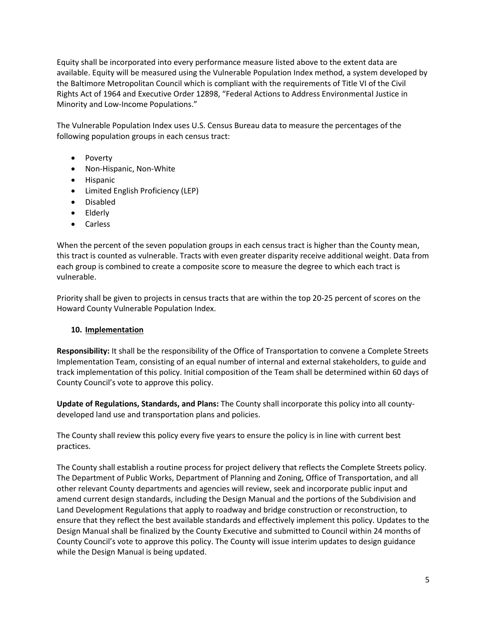Equity shall be incorporated into every performance measure listed above to the extent data are available. Equity will be measured using the Vulnerable Population Index method, a system developed by the Baltimore Metropolitan Council which is compliant with the requirements of Title VI of the Civil Rights Act of 1964 and Executive Order 12898, "Federal Actions to Address Environmental Justice in Minority and Low-Income Populations."

The Vulnerable Population Index uses U.S. Census Bureau data to measure the percentages of the following population groups in each census tract:

- Poverty
- Non-Hispanic, Non-White
- Hispanic
- Limited English Proficiency (LEP)
- Disabled
- Elderly
- Carless

When the percent of the seven population groups in each census tract is higher than the County mean, this tract is counted as vulnerable. Tracts with even greater disparity receive additional weight. Data from each group is combined to create a composite score to measure the degree to which each tract is vulnerable.

Priority shall be given to projects in census tracts that are within the top 20-25 percent of scores on the Howard County Vulnerable Population Index.

## **10. Implementation**

**Responsibility:** It shall be the responsibility of the Office of Transportation to convene a Complete Streets Implementation Team, consisting of an equal number of internal and external stakeholders, to guide and track implementation of this policy. Initial composition of the Team shall be determined within 60 days of County Council's vote to approve this policy.

**Update of Regulations, Standards, and Plans:** The County shall incorporate this policy into all countydeveloped land use and transportation plans and policies.

The County shall review this policy every five years to ensure the policy is in line with current best practices.

The County shall establish a routine process for project delivery that reflects the Complete Streets policy. The Department of Public Works, Department of Planning and Zoning, Office of Transportation, and all other relevant County departments and agencies will review, seek and incorporate public input and amend current design standards, including the Design Manual and the portions of the Subdivision and Land Development Regulations that apply to roadway and bridge construction or reconstruction, to ensure that they reflect the best available standards and effectively implement this policy. Updates to the Design Manual shall be finalized by the County Executive and submitted to Council within 24 months of County Council's vote to approve this policy. The County will issue interim updates to design guidance while the Design Manual is being updated.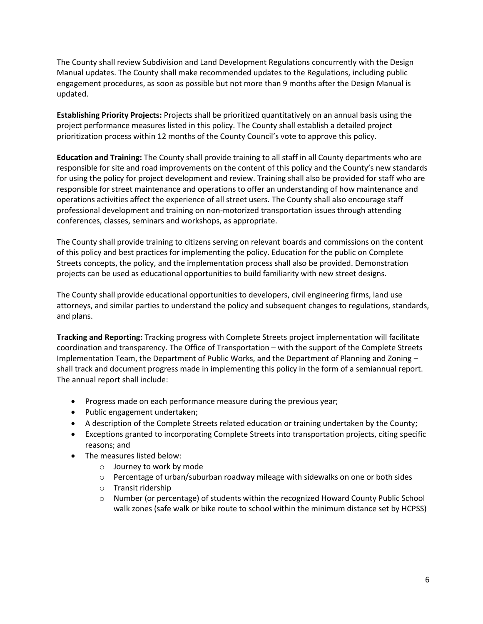The County shall review Subdivision and Land Development Regulations concurrently with the Design Manual updates. The County shall make recommended updates to the Regulations, including public engagement procedures, as soon as possible but not more than 9 months after the Design Manual is updated.

**Establishing Priority Projects:** Projects shall be prioritized quantitatively on an annual basis using the project performance measures listed in this policy. The County shall establish a detailed project prioritization process within 12 months of the County Council's vote to approve this policy.

**Education and Training:** The County shall provide training to all staff in all County departments who are responsible for site and road improvements on the content of this policy and the County's new standards for using the policy for project development and review. Training shall also be provided for staff who are responsible for street maintenance and operations to offer an understanding of how maintenance and operations activities affect the experience of all street users. The County shall also encourage staff professional development and training on non-motorized transportation issues through attending conferences, classes, seminars and workshops, as appropriate.

The County shall provide training to citizens serving on relevant boards and commissions on the content of this policy and best practices for implementing the policy. Education for the public on Complete Streets concepts, the policy, and the implementation process shall also be provided. Demonstration projects can be used as educational opportunities to build familiarity with new street designs.

The County shall provide educational opportunities to developers, civil engineering firms, land use attorneys, and similar parties to understand the policy and subsequent changes to regulations, standards, and plans.

**Tracking and Reporting:** Tracking progress with Complete Streets project implementation will facilitate coordination and transparency. The Office of Transportation – with the support of the Complete Streets Implementation Team, the Department of Public Works, and the Department of Planning and Zoning – shall track and document progress made in implementing this policy in the form of a semiannual report. The annual report shall include:

- Progress made on each performance measure during the previous year;
- Public engagement undertaken;
- A description of the Complete Streets related education or training undertaken by the County;
- Exceptions granted to incorporating Complete Streets into transportation projects, citing specific reasons; and
- The measures listed below:
	- o Journey to work by mode
	- o Percentage of urban/suburban roadway mileage with sidewalks on one or both sides
	- o Transit ridership
	- o Number (or percentage) of students within the recognized Howard County Public School walk zones (safe walk or bike route to school within the minimum distance set by HCPSS)